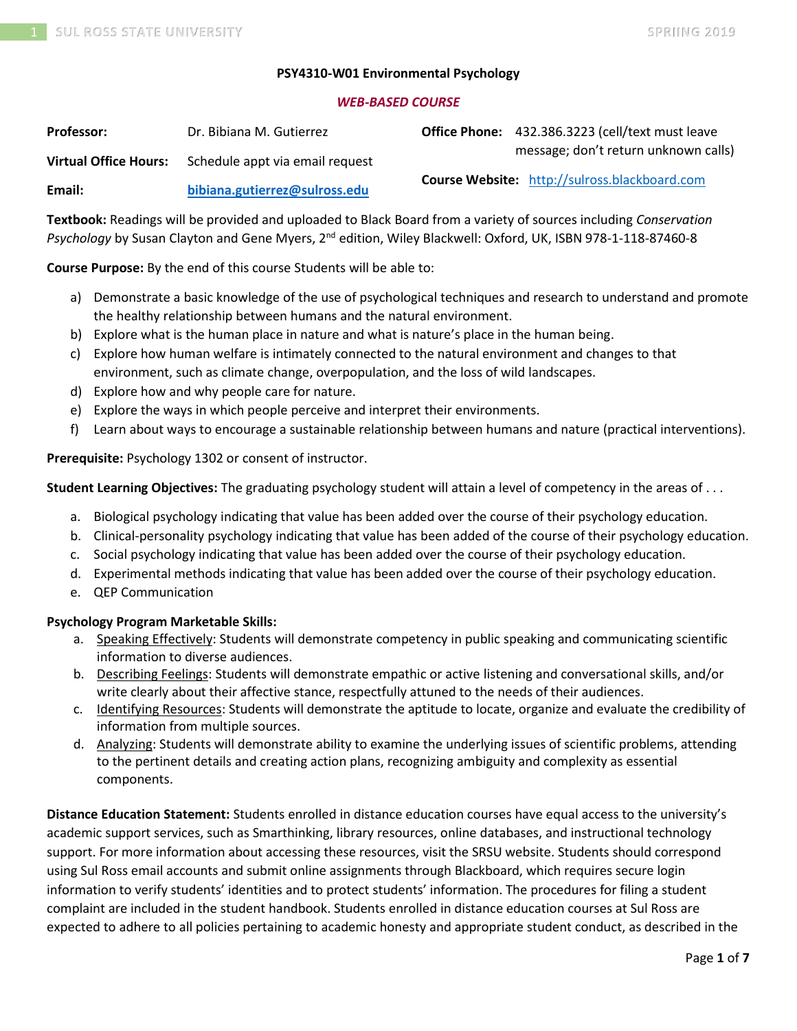### **PSY4310-W01 Environmental Psychology**

#### *WEB-BASED COURSE*

| <b>Professor:</b>            | Dr. Bibiana M. Gutierrez        | Office Phone: 432.386.3223 (cell/text must leave     |
|------------------------------|---------------------------------|------------------------------------------------------|
| <b>Virtual Office Hours:</b> | Schedule appt via email request | message; don't return unknown calls)                 |
| Email:                       | bibiana.gutierrez@sulross.edu   | <b>Course Website:</b> http://sulross.blackboard.com |

**Textbook:** Readings will be provided and uploaded to Black Board from a variety of sources including *Conservation Psychology* by Susan Clayton and Gene Myers, 2nd edition, Wiley Blackwell: Oxford, UK, ISBN 978-1-118-87460-8

**Course Purpose:** By the end of this course Students will be able to:

- a) Demonstrate a basic knowledge of the use of psychological techniques and research to understand and promote the healthy relationship between humans and the natural environment.
- b) Explore what is the human place in nature and what is nature's place in the human being.
- c) Explore how human welfare is intimately connected to the natural environment and changes to that environment, such as climate change, overpopulation, and the loss of wild landscapes.
- d) Explore how and why people care for nature.
- e) Explore the ways in which people perceive and interpret their environments.
- f) Learn about ways to encourage a sustainable relationship between humans and nature (practical interventions).

**Prerequisite:** Psychology 1302 or consent of instructor.

**Student Learning Objectives:** The graduating psychology student will attain a level of competency in the areas of . . .

- a. Biological psychology indicating that value has been added over the course of their psychology education.
- b. Clinical-personality psychology indicating that value has been added of the course of their psychology education.
- c. Social psychology indicating that value has been added over the course of their psychology education.
- d. Experimental methods indicating that value has been added over the course of their psychology education.
- e. QEP Communication

## **Psychology Program Marketable Skills:**

- a. Speaking Effectively: Students will demonstrate competency in public speaking and communicating scientific information to diverse audiences.
- b. Describing Feelings: Students will demonstrate empathic or active listening and conversational skills, and/or write clearly about their affective stance, respectfully attuned to the needs of their audiences.
- c. Identifying Resources: Students will demonstrate the aptitude to locate, organize and evaluate the credibility of information from multiple sources.
- d. Analyzing: Students will demonstrate ability to examine the underlying issues of scientific problems, attending to the pertinent details and creating action plans, recognizing ambiguity and complexity as essential components.

**Distance Education Statement:** Students enrolled in distance education courses have equal access to the university's academic support services, such as Smarthinking, library resources, online databases, and instructional technology support. For more information about accessing these resources, visit the SRSU website. Students should correspond using Sul Ross email accounts and submit online assignments through Blackboard, which requires secure login information to verify students' identities and to protect students' information. The procedures for filing a student complaint are included in the student handbook. Students enrolled in distance education courses at Sul Ross are expected to adhere to all policies pertaining to academic honesty and appropriate student conduct, as described in the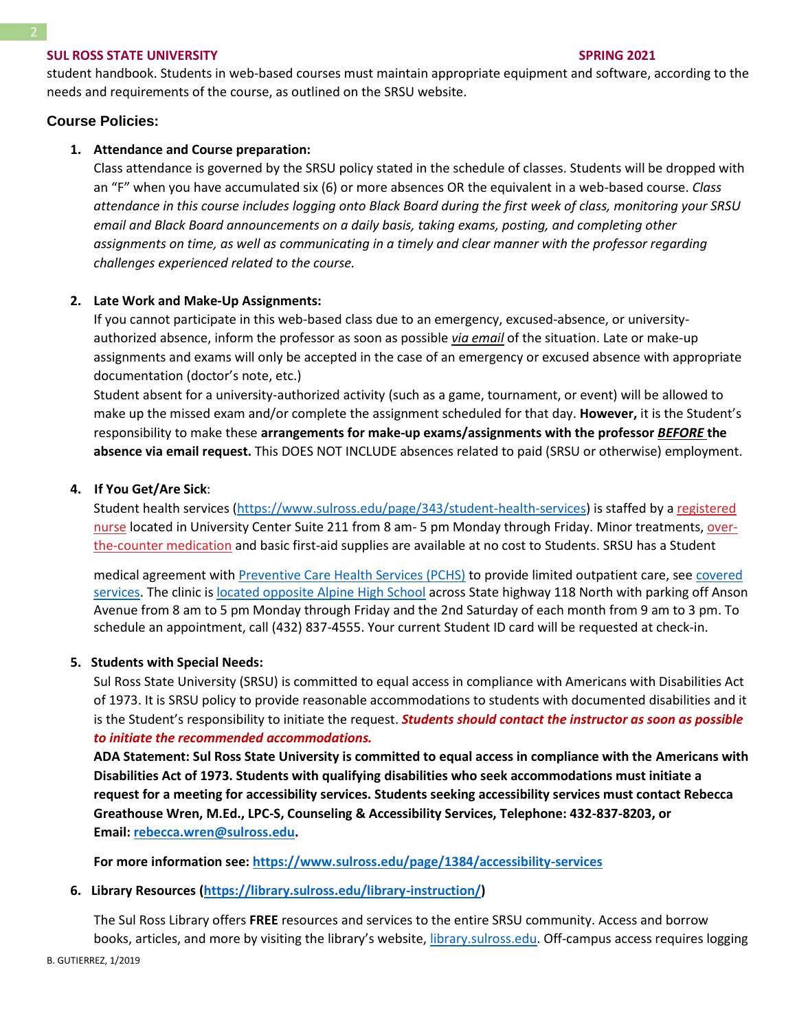student handbook. Students in web-based courses must maintain appropriate equipment and software, according to the needs and requirements of the course, as outlined on the SRSU website.

## **Course Policies:**

### **1. Attendance and Course preparation:**

Class attendance is governed by the SRSU policy stated in the schedule of classes. Students will be dropped with an "F" when you have accumulated six (6) or more absences OR the equivalent in a web-based course. *Class attendance in this course includes logging onto Black Board during the first week of class, monitoring your SRSU email and Black Board announcements on a daily basis, taking exams, posting, and completing other assignments on time, as well as communicating in a timely and clear manner with the professor regarding challenges experienced related to the course.*

## **2. Late Work and Make-Up Assignments:**

If you cannot participate in this web-based class due to an emergency, excused-absence, or universityauthorized absence, inform the professor as soon as possible *via email* of the situation. Late or make-up assignments and exams will only be accepted in the case of an emergency or excused absence with appropriate documentation (doctor's note, etc.)

Student absent for a university-authorized activity (such as a game, tournament, or event) will be allowed to make up the missed exam and/or complete the assignment scheduled for that day. **However,** it is the Student's responsibility to make these **arrangements for make-up exams/assignments with the professor** *BEFORE* **the absence via email request.** This DOES NOT INCLUDE absences related to paid (SRSU or otherwise) employment.

### **4. If You Get/Are Sick**:

Student health services [\(https://www.sulross.edu/page/343/student-health-services\)](https://www.sulross.edu/page/343/student-health-services) is staffed by a [registered](https://www.sulross.edu/faculty-and-staff/945/health-services-coordinator)  [nurse](https://www.sulross.edu/faculty-and-staff/945/health-services-coordinator) located in University Center Suite 211 from 8 am- 5 pm Monday through Friday. Minor treatments, [over](http://www.sulross.edu/page/1462/medications)[the-counter medication](http://www.sulross.edu/page/1462/medications) and basic first-aid supplies are available at no cost to Students. SRSU has a Student

medical agreement with [Preventive Care Health Services \(PCHS\)](http://www.pchsmedclinic.org/locations) to provide limited outpatient care, see [covered](http://www.sulross.edu/page/1471/preventive-care-health-services)  [services.](http://www.sulross.edu/page/1471/preventive-care-health-services) The clinic is [located opposite Alpine High School](http://www.sulross.edu/gallery-image/4341/health-service-locations) across State highway 118 North with parking off Anson Avenue from 8 am to 5 pm Monday through Friday and the 2nd Saturday of each month from 9 am to 3 pm. To schedule an appointment, call (432) 837-4555. Your current Student ID card will be requested at check-in.

#### **5. Students with Special Needs:**

Sul Ross State University (SRSU) is committed to equal access in compliance with Americans with Disabilities Act of 1973. It is SRSU policy to provide reasonable accommodations to students with documented disabilities and it is the Student's responsibility to initiate the request. *Students should contact the instructor as soon as possible to initiate the recommended accommodations.*

**ADA Statement: Sul Ross State University is committed to equal access in compliance with the Americans with Disabilities Act of 1973. Students with qualifying disabilities who seek accommodations must initiate a request for a meeting for accessibility services. Students seeking accessibility services must contact Rebecca Greathouse Wren, M.Ed., LPC-S, Counseling & Accessibility Services, Telephone: 432-837-8203, or Email: [rebecca.wren@sulross.edu.](mailto:rebecca.wren@sulross.edu)**

**For more information see: <https://www.sulross.edu/page/1384/accessibility-services>**

#### **6. Library Resources [\(https://library.sulross.edu/library-instruction/\)](https://library.sulross.edu/library-instruction/)**

The Sul Ross Library offers **FREE** resources and services to the entire SRSU community. Access and borrow books, articles, and more by visiting the library's website, *library.sulross.edu*. Off-campus access requires logging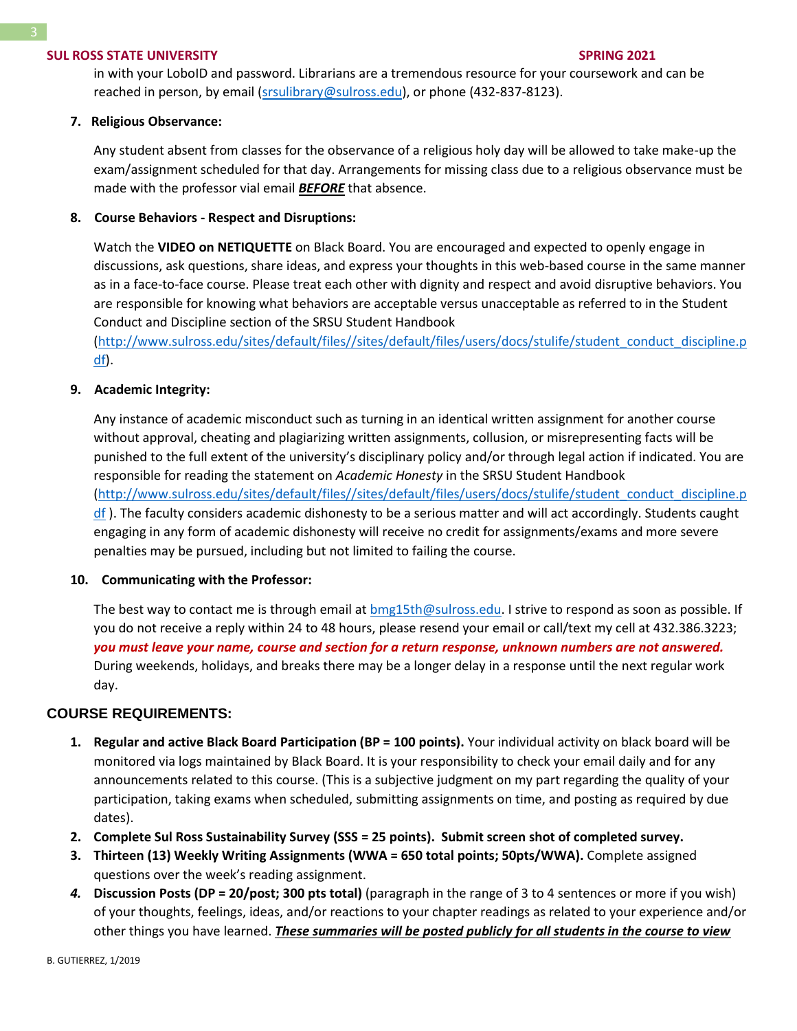in with your LoboID and password. Librarians are a tremendous resource for your coursework and can be reached in person, by email [\(srsulibrary@sulross.edu\)](mailto:srsulibrary@sulross.edu), or phone (432-837-8123).

#### **7. Religious Observance:**

Any student absent from classes for the observance of a religious holy day will be allowed to take make-up the exam/assignment scheduled for that day. Arrangements for missing class due to a religious observance must be made with the professor vial email *BEFORE* that absence.

#### **8. Course Behaviors - Respect and Disruptions:**

Watch the **VIDEO on NETIQUETTE** on Black Board. You are encouraged and expected to openly engage in discussions, ask questions, share ideas, and express your thoughts in this web-based course in the same manner as in a face-to-face course. Please treat each other with dignity and respect and avoid disruptive behaviors. You are responsible for knowing what behaviors are acceptable versus unacceptable as referred to in the Student Conduct and Discipline section of the SRSU Student Handbook

[\(http://www.sulross.edu/sites/default/files//sites/default/files/users/docs/stulife/student\\_conduct\\_discipline.p](http://www.sulross.edu/sites/default/files/sites/default/files/users/docs/stulife/student_conduct_discipline.pdf) [df\)](http://www.sulross.edu/sites/default/files/sites/default/files/users/docs/stulife/student_conduct_discipline.pdf).

### **9. Academic Integrity:**

Any instance of academic misconduct such as turning in an identical written assignment for another course without approval, cheating and plagiarizing written assignments, collusion, or misrepresenting facts will be punished to the full extent of the university's disciplinary policy and/or through legal action if indicated. You are responsible for reading the statement on *Academic Honesty* in the SRSU Student Handbook [\(http://www.sulross.edu/sites/default/files//sites/default/files/users/docs/stulife/student\\_conduct\\_discipline.p](http://www.sulross.edu/sites/default/files/sites/default/files/users/docs/stulife/student_conduct_discipline.pdf) [df](http://www.sulross.edu/sites/default/files/sites/default/files/users/docs/stulife/student_conduct_discipline.pdf) ). The faculty considers academic dishonesty to be a serious matter and will act accordingly. Students caught engaging in any form of academic dishonesty will receive no credit for assignments/exams and more severe penalties may be pursued, including but not limited to failing the course.

#### **10. Communicating with the Professor:**

The best way to contact me is through email at [bmg15th@sulross.edu.](mailto:bmg15th@sulross.edu) I strive to respond as soon as possible. If you do not receive a reply within 24 to 48 hours, please resend your email or call/text my cell at 432.386.3223; *you must leave your name, course and section for a return response, unknown numbers are not answered.* During weekends, holidays, and breaks there may be a longer delay in a response until the next regular work day.

#### **COURSE REQUIREMENTS:**

- **1. Regular and active Black Board Participation (BP = 100 points).** Your individual activity on black board will be monitored via logs maintained by Black Board. It is your responsibility to check your email daily and for any announcements related to this course. (This is a subjective judgment on my part regarding the quality of your participation, taking exams when scheduled, submitting assignments on time, and posting as required by due dates).
- **2. Complete Sul Ross Sustainability Survey (SSS = 25 points). Submit screen shot of completed survey.**
- **3. Thirteen (13) Weekly Writing Assignments (WWA = 650 total points; 50pts/WWA).** Complete assigned questions over the week's reading assignment.
- *4.* **Discussion Posts (DP = 20/post; 300 pts total)** (paragraph in the range of 3 to 4 sentences or more if you wish) of your thoughts, feelings, ideas, and/or reactions to your chapter readings as related to your experience and/or other things you have learned. *These summaries will be posted publicly for all students in the course to view*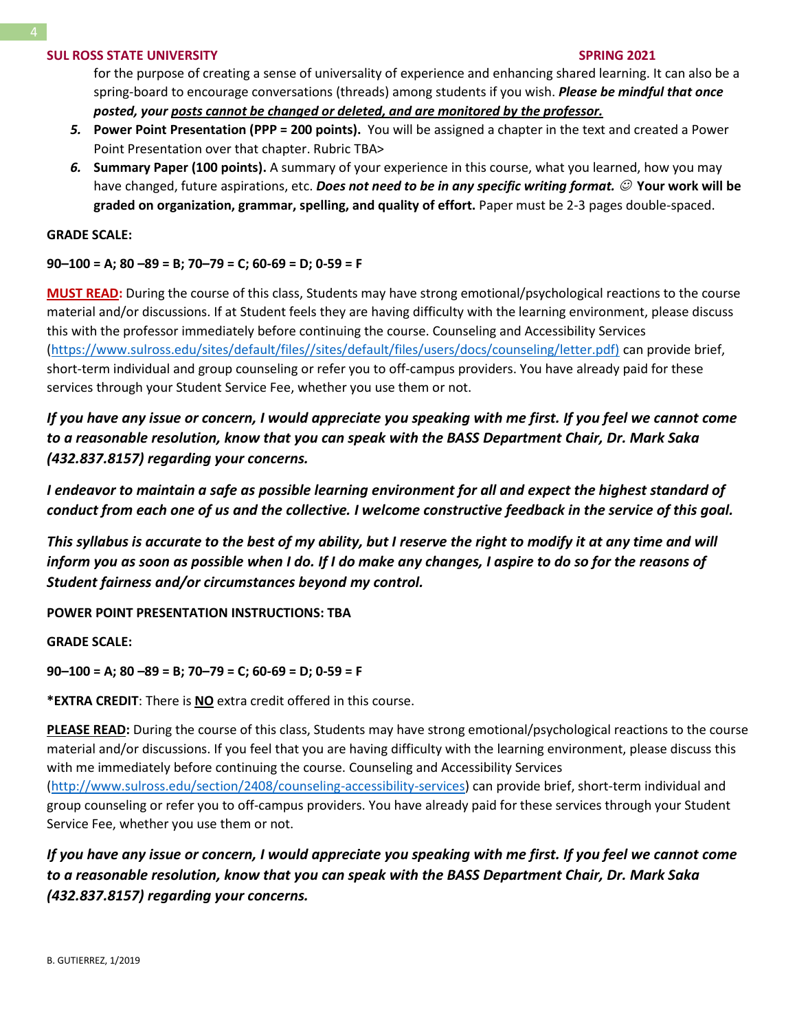for the purpose of creating a sense of universality of experience and enhancing shared learning. It can also be a spring-board to encourage conversations (threads) among students if you wish. *Please be mindful that once posted, your posts cannot be changed or deleted, and are monitored by the professor.*

- *5.* **Power Point Presentation (PPP = 200 points).** You will be assigned a chapter in the text and created a Power Point Presentation over that chapter. Rubric TBA>
- *6.* **Summary Paper (100 points).** A summary of your experience in this course, what you learned, how you may have changed, future aspirations, etc. *Does not need to be in any specific writing format.* ☺ **Your work will be graded on organization, grammar, spelling, and quality of effort.** Paper must be 2-3 pages double-spaced.

#### **GRADE SCALE:**

## **90–100 = A; 80 –89 = B; 70–79 = C; 60-69 = D; 0-59 = F**

**MUST READ:** During the course of this class, Students may have strong emotional/psychological reactions to the course material and/or discussions. If at Student feels they are having difficulty with the learning environment, please discuss this with the professor immediately before continuing the course. Counseling and Accessibility Services [\(https://www.sulross.edu/sites/default/files//sites/default/files/users/docs/counseling/letter.pdf\)](https://www.sulross.edu/sites/default/files/sites/default/files/users/docs/counseling/letter.pdf) can provide brief, short-term individual and group counseling or refer you to off-campus providers. You have already paid for these services through your Student Service Fee, whether you use them or not.

*If you have any issue or concern, I would appreciate you speaking with me first. If you feel we cannot come to a reasonable resolution, know that you can speak with the BASS Department Chair, Dr. Mark Saka (432.837.8157) regarding your concerns.*

*I endeavor to maintain a safe as possible learning environment for all and expect the highest standard of conduct from each one of us and the collective. I welcome constructive feedback in the service of this goal.*

*This syllabus is accurate to the best of my ability, but I reserve the right to modify it at any time and will inform you as soon as possible when I do. If I do make any changes, I aspire to do so for the reasons of Student fairness and/or circumstances beyond my control.*

**POWER POINT PRESENTATION INSTRUCTIONS: TBA**

**GRADE SCALE:**

**90–100 = A; 80 –89 = B; 70–79 = C; 60-69 = D; 0-59 = F**

**\*EXTRA CREDIT**: There is **NO** extra credit offered in this course.

**PLEASE READ:** During the course of this class, Students may have strong emotional/psychological reactions to the course material and/or discussions. If you feel that you are having difficulty with the learning environment, please discuss this with me immediately before continuing the course. Counseling and Accessibility Services [\(http://www.sulross.edu/section/2408/counseling-accessibility-services\)](http://www.sulross.edu/section/2408/counseling-accessibility-services) can provide brief, short-term individual and group counseling or refer you to off-campus providers. You have already paid for these services through your Student Service Fee, whether you use them or not.

*If you have any issue or concern, I would appreciate you speaking with me first. If you feel we cannot come to a reasonable resolution, know that you can speak with the BASS Department Chair, Dr. Mark Saka (432.837.8157) regarding your concerns.*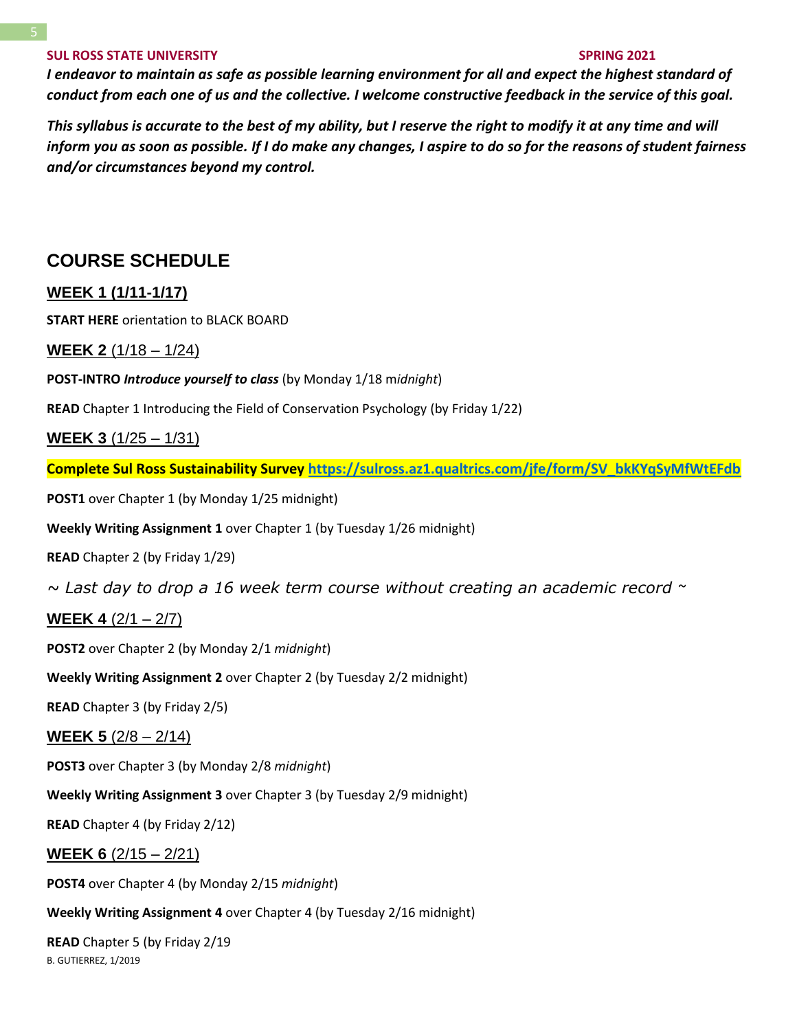*I endeavor to maintain as safe as possible learning environment for all and expect the highest standard of conduct from each one of us and the collective. I welcome constructive feedback in the service of this goal.*

*This syllabus is accurate to the best of my ability, but I reserve the right to modify it at any time and will inform you as soon as possible. If I do make any changes, I aspire to do so for the reasons of student fairness and/or circumstances beyond my control.*

# **COURSE SCHEDULE**

## **WEEK 1 (1/11-1/17)**

**START HERE** orientation to BLACK BOARD

## **WEEK 2** (1/18 – 1/24)

### **POST-INTRO** *Introduce yourself to class* (by Monday 1/18 m*idnight*)

**READ** Chapter 1 Introducing the Field of Conservation Psychology (by Friday 1/22)

## **WEEK 3** (1/25 – 1/31)

**Complete Sul Ross Sustainability Survey [https://sulross.az1.qualtrics.com/jfe/form/SV\\_bkKYqSyMfWtEFdb](https://sulross.az1.qualtrics.com/jfe/form/SV_bkKYqSyMfWtEFdb)**

**POST1** over Chapter 1 (by Monday 1/25 midnight)

**Weekly Writing Assignment 1** over Chapter 1 (by Tuesday 1/26 midnight)

**READ** Chapter 2 (by Friday 1/29)

*~ Last day to drop a 16 week term course without creating an academic record ~*

**WEEK 4** (2/1 – 2/7)

**POST2** over Chapter 2 (by Monday 2/1 *midnight*)

**Weekly Writing Assignment 2** over Chapter 2 (by Tuesday 2/2 midnight)

**READ** Chapter 3 (by Friday 2/5)

## **WEEK 5** (2/8 – 2/14)

**POST3** over Chapter 3 (by Monday 2/8 *midnight*)

**Weekly Writing Assignment 3** over Chapter 3 (by Tuesday 2/9 midnight)

**READ** Chapter 4 (by Friday 2/12)

## **WEEK 6** (2/15 – 2/21)

**POST4** over Chapter 4 (by Monday 2/15 *midnight*)

**Weekly Writing Assignment 4** over Chapter 4 (by Tuesday 2/16 midnight)

B. GUTIERREZ, 1/2019 **READ** Chapter 5 (by Friday 2/19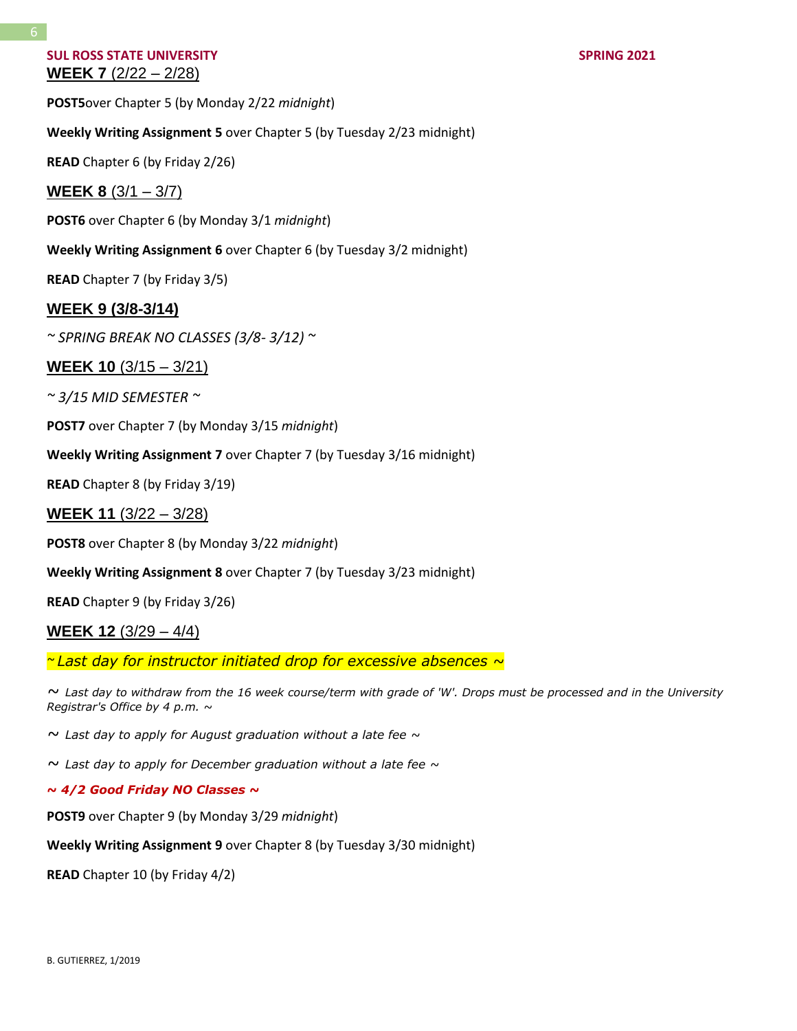## **SUL ROSS STATE UNIVERSITY SPRING 2021 WEEK 7** (2/22 – 2/28)

**POST5**over Chapter 5 (by Monday 2/22 *midnight*)

## **Weekly Writing Assignment 5** over Chapter 5 (by Tuesday 2/23 midnight)

**READ** Chapter 6 (by Friday 2/26)

## **WEEK 8** (3/1 – 3/7)

**POST6** over Chapter 6 (by Monday 3/1 *midnight*)

**Weekly Writing Assignment 6** over Chapter 6 (by Tuesday 3/2 midnight)

**READ** Chapter 7 (by Friday 3/5)

## **WEEK 9 (3/8-3/14)**

*~ SPRING BREAK NO CLASSES (3/8- 3/12) ~*

## **WEEK 10** (3/15 – 3/21)

*~ 3/15 MID SEMESTER ~*

**POST7** over Chapter 7 (by Monday 3/15 *midnight*)

**Weekly Writing Assignment 7** over Chapter 7 (by Tuesday 3/16 midnight)

**READ** Chapter 8 (by Friday 3/19)

**WEEK 11** (3/22 – 3/28)

**POST8** over Chapter 8 (by Monday 3/22 *midnight*)

**Weekly Writing Assignment 8** over Chapter 7 (by Tuesday 3/23 midnight)

**READ** Chapter 9 (by Friday 3/26)

## **WEEK 12** (3/29 – 4/4)

*~ Last day for instructor initiated drop for excessive absences ~*

*~ Last day to withdraw from the 16 week course/term with grade of 'W'. Drops must be processed and in the University Registrar's Office by 4 p.m. ~*

*~ Last day to apply for August graduation without a late fee ~*

*~ Last day to apply for December graduation without a late fee ~*

#### *~ 4/2 Good Friday NO Classes ~*

**POST9** over Chapter 9 (by Monday 3/29 *midnight*)

**Weekly Writing Assignment 9** over Chapter 8 (by Tuesday 3/30 midnight)

**READ** Chapter 10 (by Friday 4/2)